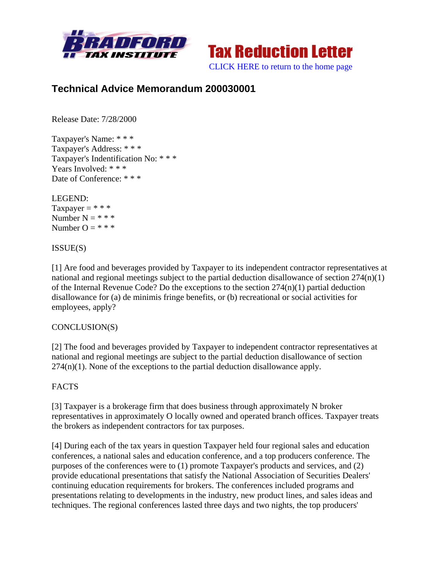



# **Technical Advice Memorandum 200030001**

Release Date: 7/28/2000

Taxpayer's Name: \* \* \* Taxpayer's Address: \* \* \* Taxpayer's Indentification No: \* \* \* Years Involved: \* \* \* Date of Conference: \* \* \*

LEGEND: Taxpayer =  $***$ Number  $N = * * *$ Number  $Q = * * * *$ 

ISSUE(S)

[1] Are food and beverages provided by Taxpayer to its independent contractor representatives at national and regional meetings subject to the partial deduction disallowance of section 274(n)(1) of the Internal Revenue Code? Do the exceptions to the section  $274(n)(1)$  partial deduction disallowance for (a) de minimis fringe benefits, or (b) recreational or social activities for employees, apply?

### CONCLUSION(S)

[2] The food and beverages provided by Taxpayer to independent contractor representatives at national and regional meetings are subject to the partial deduction disallowance of section  $274(n)(1)$ . None of the exceptions to the partial deduction disallowance apply.

### **FACTS**

[3] Taxpayer is a brokerage firm that does business through approximately N broker representatives in approximately O locally owned and operated branch offices. Taxpayer treats the brokers as independent contractors for tax purposes.

[4] During each of the tax years in question Taxpayer held four regional sales and education conferences, a national sales and education conference, and a top producers conference. The purposes of the conferences were to (1) promote Taxpayer's products and services, and (2) provide educational presentations that satisfy the National Association of Securities Dealers' continuing education requirements for brokers. The conferences included programs and presentations relating to developments in the industry, new product lines, and sales ideas and techniques. The regional conferences lasted three days and two nights, the top producers'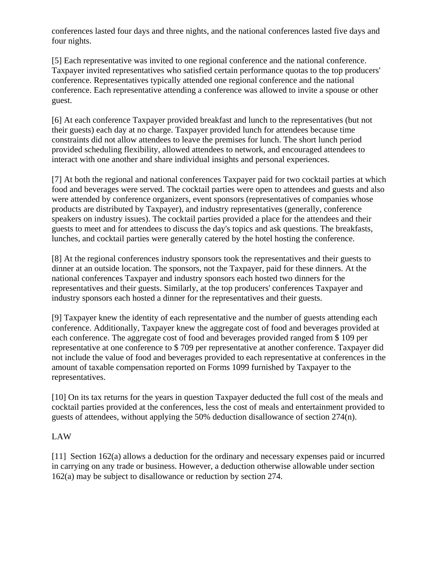conferences lasted four days and three nights, and the national conferences lasted five days and four nights.

[5] Each representative was invited to one regional conference and the national conference. Taxpayer invited representatives who satisfied certain performance quotas to the top producers' conference. Representatives typically attended one regional conference and the national conference. Each representative attending a conference was allowed to invite a spouse or other guest.

[6] At each conference Taxpayer provided breakfast and lunch to the representatives (but not their guests) each day at no charge. Taxpayer provided lunch for attendees because time constraints did not allow attendees to leave the premises for lunch. The short lunch period provided scheduling flexibility, allowed attendees to network, and encouraged attendees to interact with one another and share individual insights and personal experiences.

[7] At both the regional and national conferences Taxpayer paid for two cocktail parties at which food and beverages were served. The cocktail parties were open to attendees and guests and also were attended by conference organizers, event sponsors (representatives of companies whose products are distributed by Taxpayer), and industry representatives (generally, conference speakers on industry issues). The cocktail parties provided a place for the attendees and their guests to meet and for attendees to discuss the day's topics and ask questions. The breakfasts, lunches, and cocktail parties were generally catered by the hotel hosting the conference.

[8] At the regional conferences industry sponsors took the representatives and their guests to dinner at an outside location. The sponsors, not the Taxpayer, paid for these dinners. At the national conferences Taxpayer and industry sponsors each hosted two dinners for the representatives and their guests. Similarly, at the top producers' conferences Taxpayer and industry sponsors each hosted a dinner for the representatives and their guests.

[9] Taxpayer knew the identity of each representative and the number of guests attending each conference. Additionally, Taxpayer knew the aggregate cost of food and beverages provided at each conference. The aggregate cost of food and beverages provided ranged from \$ 109 per representative at one conference to \$ 709 per representative at another conference. Taxpayer did not include the value of food and beverages provided to each representative at conferences in the amount of taxable compensation reported on Forms 1099 furnished by Taxpayer to the representatives.

[10] On its tax returns for the years in question Taxpayer deducted the full cost of the meals and cocktail parties provided at the conferences, less the cost of meals and entertainment provided to guests of attendees, without applying the 50% deduction disallowance of section 274(n).

# LAW

[11] Section 162(a) allows a deduction for the ordinary and necessary expenses paid or incurred in carrying on any trade or business. However, a deduction otherwise allowable under section 162(a) may be subject to disallowance or reduction by section 274.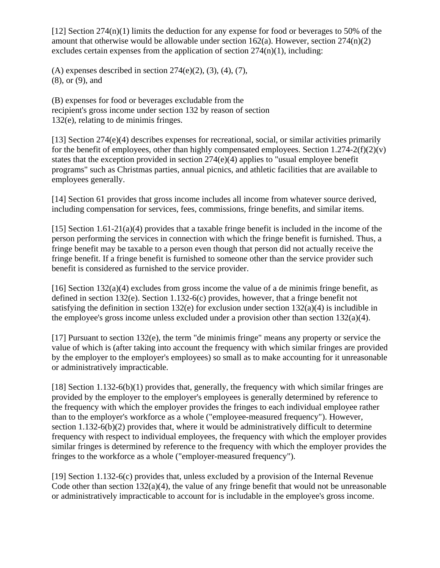$[12]$  Section 274(n)(1) limits the deduction for any expense for food or beverages to 50% of the amount that otherwise would be allowable under section  $162(a)$ . However, section  $274(n)(2)$ excludes certain expenses from the application of section  $274(n)(1)$ , including:

(A) expenses described in section  $274(e)(2)$ ,  $(3)$ ,  $(4)$ ,  $(7)$ , (8), or (9), and

(B) expenses for food or beverages excludable from the recipient's gross income under section 132 by reason of section 132(e), relating to de minimis fringes.

[13] Section 274(e)(4) describes expenses for recreational, social, or similar activities primarily for the benefit of employees, other than highly compensated employees. Section  $1.274-2(f)(2)(v)$ states that the exception provided in section 274(e)(4) applies to "usual employee benefit programs" such as Christmas parties, annual picnics, and athletic facilities that are available to employees generally.

[14] Section 61 provides that gross income includes all income from whatever source derived, including compensation for services, fees, commissions, fringe benefits, and similar items.

[15] Section  $1.61-21(a)(4)$  provides that a taxable fringe benefit is included in the income of the person performing the services in connection with which the fringe benefit is furnished. Thus, a fringe benefit may be taxable to a person even though that person did not actually receive the fringe benefit. If a fringe benefit is furnished to someone other than the service provider such benefit is considered as furnished to the service provider.

[16] Section  $132(a)(4)$  excludes from gross income the value of a de minimis fringe benefit, as defined in section 132(e). Section 1.132-6(c) provides, however, that a fringe benefit not satisfying the definition in section 132(e) for exclusion under section  $132(a)(4)$  is includible in the employee's gross income unless excluded under a provision other than section 132(a)(4).

[17] Pursuant to section 132(e), the term "de minimis fringe" means any property or service the value of which is (after taking into account the frequency with which similar fringes are provided by the employer to the employer's employees) so small as to make accounting for it unreasonable or administratively impracticable.

[18] Section 1.132-6(b)(1) provides that, generally, the frequency with which similar fringes are provided by the employer to the employer's employees is generally determined by reference to the frequency with which the employer provides the fringes to each individual employee rather than to the employer's workforce as a whole ("employee-measured frequency"). However, section 1.132-6(b)(2) provides that, where it would be administratively difficult to determine frequency with respect to individual employees, the frequency with which the employer provides similar fringes is determined by reference to the frequency with which the employer provides the fringes to the workforce as a whole ("employer-measured frequency").

[19] Section 1.132-6(c) provides that, unless excluded by a provision of the Internal Revenue Code other than section  $132(a)(4)$ , the value of any fringe benefit that would not be unreasonable or administratively impracticable to account for is includable in the employee's gross income.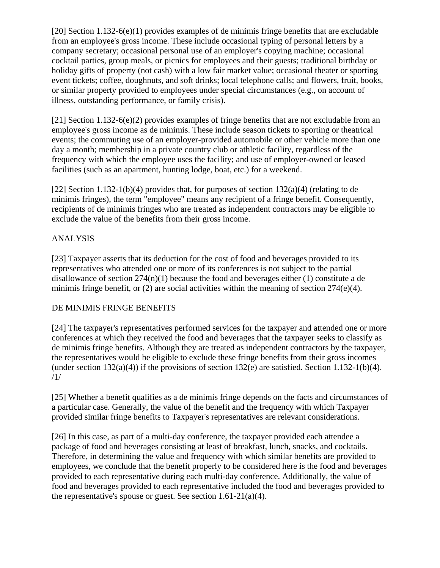[20] Section 1.132-6(e)(1) provides examples of de minimis fringe benefits that are excludable from an employee's gross income. These include occasional typing of personal letters by a company secretary; occasional personal use of an employer's copying machine; occasional cocktail parties, group meals, or picnics for employees and their guests; traditional birthday or holiday gifts of property (not cash) with a low fair market value; occasional theater or sporting event tickets; coffee, doughnuts, and soft drinks; local telephone calls; and flowers, fruit, books, or similar property provided to employees under special circumstances (e.g., on account of illness, outstanding performance, or family crisis).

[21] Section 1.132-6(e)(2) provides examples of fringe benefits that are not excludable from an employee's gross income as de minimis. These include season tickets to sporting or theatrical events; the commuting use of an employer-provided automobile or other vehicle more than one day a month; membership in a private country club or athletic facility, regardless of the frequency with which the employee uses the facility; and use of employer-owned or leased facilities (such as an apartment, hunting lodge, boat, etc.) for a weekend.

[22] Section 1.132-1(b)(4) provides that, for purposes of section  $132(a)(4)$  (relating to de minimis fringes), the term "employee" means any recipient of a fringe benefit. Consequently, recipients of de minimis fringes who are treated as independent contractors may be eligible to exclude the value of the benefits from their gross income.

# ANALYSIS

[23] Taxpayer asserts that its deduction for the cost of food and beverages provided to its representatives who attended one or more of its conferences is not subject to the partial disallowance of section 274(n)(1) because the food and beverages either (1) constitute a de minimis fringe benefit, or (2) are social activities within the meaning of section 274(e)(4).

# DE MINIMIS FRINGE BENEFITS

[24] The taxpayer's representatives performed services for the taxpayer and attended one or more conferences at which they received the food and beverages that the taxpayer seeks to classify as de minimis fringe benefits. Although they are treated as independent contractors by the taxpayer, the representatives would be eligible to exclude these fringe benefits from their gross incomes (under section  $132(a)(4)$ ) if the provisions of section  $132(e)$  are satisfied. Section 1.132-1(b)(4). /1/

[25] Whether a benefit qualifies as a de minimis fringe depends on the facts and circumstances of a particular case. Generally, the value of the benefit and the frequency with which Taxpayer provided similar fringe benefits to Taxpayer's representatives are relevant considerations.

[26] In this case, as part of a multi-day conference, the taxpayer provided each attendee a package of food and beverages consisting at least of breakfast, lunch, snacks, and cocktails. Therefore, in determining the value and frequency with which similar benefits are provided to employees, we conclude that the benefit properly to be considered here is the food and beverages provided to each representative during each multi-day conference. Additionally, the value of food and beverages provided to each representative included the food and beverages provided to the representative's spouse or guest. See section  $1.61-21(a)(4)$ .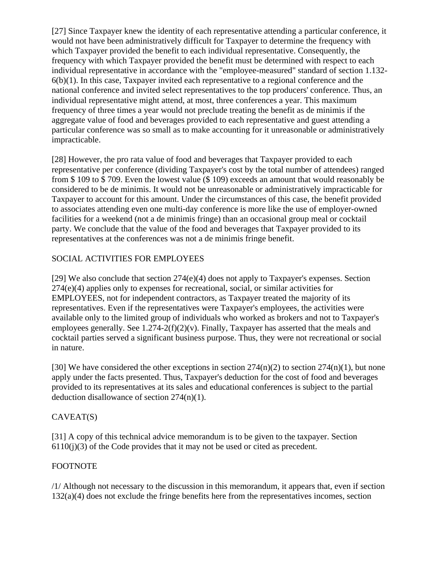[27] Since Taxpayer knew the identity of each representative attending a particular conference, it would not have been administratively difficult for Taxpayer to determine the frequency with which Taxpayer provided the benefit to each individual representative. Consequently, the frequency with which Taxpayer provided the benefit must be determined with respect to each individual representative in accordance with the "employee-measured" standard of section 1.132- 6(b)(1). In this case, Taxpayer invited each representative to a regional conference and the national conference and invited select representatives to the top producers' conference. Thus, an individual representative might attend, at most, three conferences a year. This maximum frequency of three times a year would not preclude treating the benefit as de minimis if the aggregate value of food and beverages provided to each representative and guest attending a particular conference was so small as to make accounting for it unreasonable or administratively impracticable.

[28] However, the pro rata value of food and beverages that Taxpayer provided to each representative per conference (dividing Taxpayer's cost by the total number of attendees) ranged from \$ 109 to \$ 709. Even the lowest value (\$ 109) exceeds an amount that would reasonably be considered to be de minimis. It would not be unreasonable or administratively impracticable for Taxpayer to account for this amount. Under the circumstances of this case, the benefit provided to associates attending even one multi-day conference is more like the use of employer-owned facilities for a weekend (not a de minimis fringe) than an occasional group meal or cocktail party. We conclude that the value of the food and beverages that Taxpayer provided to its representatives at the conferences was not a de minimis fringe benefit.

# SOCIAL ACTIVITIES FOR EMPLOYEES

[29] We also conclude that section 274(e)(4) does not apply to Taxpayer's expenses. Section 274(e)(4) applies only to expenses for recreational, social, or similar activities for EMPLOYEES, not for independent contractors, as Taxpayer treated the majority of its representatives. Even if the representatives were Taxpayer's employees, the activities were available only to the limited group of individuals who worked as brokers and not to Taxpayer's employees generally. See 1.274-2(f)(2)(v). Finally, Taxpayer has asserted that the meals and cocktail parties served a significant business purpose. Thus, they were not recreational or social in nature.

[30] We have considered the other exceptions in section  $274(n)(2)$  to section  $274(n)(1)$ , but none apply under the facts presented. Thus, Taxpayer's deduction for the cost of food and beverages provided to its representatives at its sales and educational conferences is subject to the partial deduction disallowance of section 274(n)(1).

# CAVEAT(S)

[31] A copy of this technical advice memorandum is to be given to the taxpayer. Section  $6110(i)(3)$  of the Code provides that it may not be used or cited as precedent.

# FOOTNOTE

/1/ Although not necessary to the discussion in this memorandum, it appears that, even if section 132(a)(4) does not exclude the fringe benefits here from the representatives incomes, section